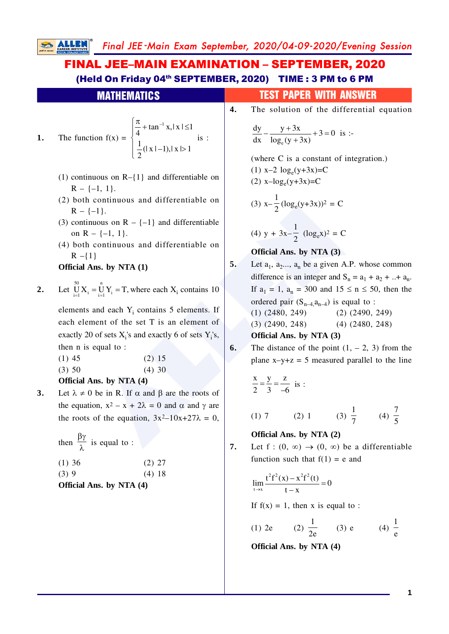**SALLEN** Final JEE -Main Exam September, 2020/04-09-2020/Evening Session

## FINAL JEE–MAIN EXAMINATION – SEPTEMBER, 2020 (Held On Friday 04<sup>th</sup> SEPTEMBER, 2020) TIME: 3 PM to 6 PM

|    | <b>MATHEMATICS</b>                                                                                                                                                         |    | test paper with Answer                                                                                                                                |
|----|----------------------------------------------------------------------------------------------------------------------------------------------------------------------------|----|-------------------------------------------------------------------------------------------------------------------------------------------------------|
|    |                                                                                                                                                                            | 4. | The solution of the differential equation                                                                                                             |
| 1. | The function $f(x) = \begin{cases} \frac{\pi}{4} + \tan^{-1} x,  x  \le 1 \\ \frac{1}{2} ( x  - 1),  x  > 1 \end{cases}$ is :                                              |    | $\frac{dy}{dx} - \frac{y+3x}{\log_e(y+3x)} + 3 = 0$ is :-<br>(where C is a constant of integration.)                                                  |
|    | (1) continuous on $R-\{1\}$ and differentiable on<br>$R - \{-1, 1\}.$                                                                                                      |    | (1) x-2 $log_e(y+3x)=C$<br>(2) $x - log_e(y + 3x) = C$                                                                                                |
|    | (2) both continuous and differentiable on<br>$R - \{-1\}.$                                                                                                                 |    | (3) $x-\frac{1}{2}(\log_e(y+3x))^2 = C$                                                                                                               |
|    | (3) continuous on $R - \{-1\}$ and differentiable<br>on R – $\{-1, 1\}$ .                                                                                                  |    | (4) $y + 3x - \frac{1}{2}$ $(\log_e x)^2 = C$                                                                                                         |
|    | (4) both continuous and differentiable on                                                                                                                                  |    | Official Ans. by NTA (3)                                                                                                                              |
|    | $R - \{1\}$<br>Official Ans. by NTA (1)                                                                                                                                    | 5. | Let $a_1$ , $a_2$ , $a_n$ be a given A.P. whose common<br>difference is an integer and $S_n = a_1 + a_2 +  + a_n$ .                                   |
| 2. | Let $\bigcup_{i=1}^{50} X_i = \bigcup_{i=1}^{n} Y_i = T$ , where each $X_i$ contains 10                                                                                    |    | If $a_1 = 1$ , $a_n = 300$ and $15 \le n \le 50$ , then the<br>ordered pair $(S_{n-4}, a_{n-4})$ is equal to :                                        |
|    | elements and each $Y_i$ contains 5 elements. If<br>each element of the set T is an element of                                                                              |    | $(1)$ $(2480, 249)$ $(2)$ $(2490, 249)$<br>$(3)$ $(2490, 248)$ $(4)$ $(2480, 248)$                                                                    |
|    | exactly 20 of sets $X_i$ 's and exactly 6 of sets $Y_i$ 's,                                                                                                                |    | Official Ans. by NTA (3)                                                                                                                              |
| 3. | then $n$ is equal to :<br>$(2)$ 15<br>$(1)$ 45<br>(3) 50<br>$(4)$ 30<br>Official Ans. by NTA (4)<br>Let $\lambda \neq 0$ be in R. If $\alpha$ and $\beta$ are the roots of | 6. | The distance of the point $(1, -2, 3)$ from the<br>plane $x-y+z = 5$ measured parallel to the line<br>$\frac{x}{2} = \frac{y}{3} = \frac{z}{-6}$ is : |
|    | the equation, $x^2 - x + 2\lambda = 0$ and $\alpha$ and $\gamma$ are<br>the roots of the equation, $3x^2-10x+27\lambda = 0$ ,                                              |    | (3) $\frac{1}{7}$ (4) $\frac{7}{5}$<br>$(1) 7$ $(2) 1$                                                                                                |
|    | then $\frac{\beta \gamma}{\lambda}$ is equal to :                                                                                                                          | 7. | Official Ans. by NTA (2)<br>Let $f:(0, \infty) \to (0, \infty)$ be a differentiable                                                                   |
|    | $(1)$ 36<br>$(2)$ 27<br>(3)9<br>(4)18<br>Official Ans. by NTA (4)                                                                                                          |    | function such that $f(1) = e$ and<br>$\lim_{t\to x}\frac{t^2f^2(x)-x^2f^2(t)}{t-x}=0$                                                                 |
|    |                                                                                                                                                                            |    | If $f(x) = 1$ , then x is equal to :                                                                                                                  |

(1) 2e (2) 
$$
\frac{1}{2e}
$$
 (3) e (4)  $\frac{1}{e}$ 

**Official Ans. by NTA (4)**

**1**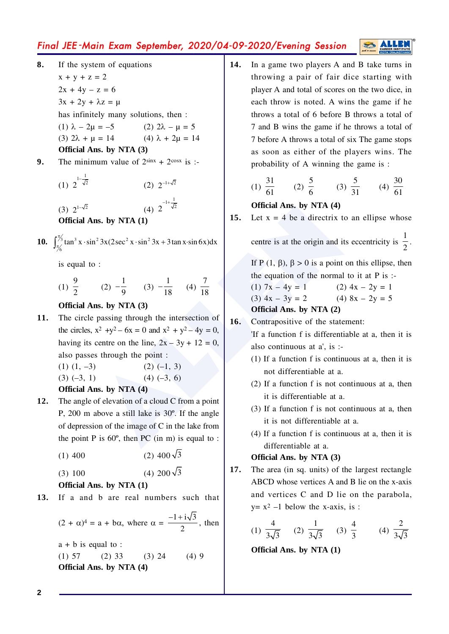## Final JEE -Main Exam September, 2020/04-09-2020/Evening Session

- **8.** If the system of equations  $x + y + z = 2$  $2x + 4y - z = 6$  $3x + 2y + \lambda z = \mu$ has infinitely many solutions, then : (1)  $\lambda - 2\mu = -5$  (2) 2 (2)  $2\lambda - \mu = 5$ (3)  $2\lambda + \mu = 14$  (4) (4)  $\lambda$  + 2 $\mu$  = 14 **Official Ans. by NTA (3) 9.** The minimum value of  $2^{\sin x} + 2^{\cos x}$  is :-(1)  $1-\frac{1}{\sqrt{2}}$  $(2)$   $2^{-1+\sqrt{2}}$ 
	- $(3) 2^{1-\sqrt{2}}$  $2^{-1+\frac{1}{\sqrt{2}}}$ **Official Ans. by NTA (1)**
- **10.**  $\int_{\pi/2}^{\pi/3} \tan^3 x \cdot \sin^2 3x (2 \sec^2 x \cdot \sin^2 3x + 3 \tan x \cdot \sin 6x) dx$ 6

is equal to :

(1)  $\frac{9}{2}$  (2)  $-\frac{1}{2}$  $\frac{1}{9}$  (3)  $-\frac{1}{18}$  (4) 7 18

**Official Ans. by NTA (3)**

- (4)  $2^{-1/2}$ <br>  $\overline{15}$ <br>  $\overline{16}$ <br>  $\overline{17}$ <br>  $\overline{21}$ <br>  $\overline{33}$ <br>  $\overline{18}$ <br>  $\overline{19}$ <br>  $\overline{10}$ <br>  $\overline{10}$ <br>  $\overline{15}$ <br>  $\overline{16}$ <br>  $\overline{18}$ <br>  $\overline{18}$ <br>  $\overline{18}$ <br>  $\overline{18}$ <br>  $\overline{19}$ <br>  $\overline{10}$ <br>  $\overline{17}$ <br>  $\overline{18}$ **11.** The circle passing through the intersection of the circles,  $x^2 +y^2 - 6x = 0$  and  $x^2 + y^2 - 4y = 0$ , having its centre on the line,  $2x - 3y + 12 = 0$ , also passes through the point :
	- $(1)$   $(1, -3)$   $(2)$   $(-1, 3)$
	- $(3)$  (–3, 1) (4) (–3, 6)
	- **Official Ans. by NTA (4)**
- **12.** The angle of elevation of a cloud C from a point P, 200 m above a still lake is 30º. If the angle of depression of the image of C in the lake from the point P is  $60^\circ$ , then PC (in m) is equal to :
	- $(1)$  400  $(2)$  400 $\sqrt{3}$

 $(3) 100$ (4) 200 $\sqrt{3}$ 

### **Official Ans. by NTA (1)**

**13.** If a and b are real numbers such that

 $(2 + \alpha)^4 = a + b\alpha$ , where  $\alpha = \frac{-1 + i\sqrt{3}}{2}$ , then

 $a + b$  is equal to :  $(1) 57$   $(2) 33$   $(3) 24$   $(4) 9$ **Official Ans. by NTA (4)**

**14.** In a game two players A and B take turns in throwing a pair of fair dice starting with player A and total of scores on the two dice, in each throw is noted. A wins the game if he throws a total of 6 before B throws a total of 7 and B wins the game if he throws a total of 7 before A throws a total of six The game stops as soon as either of the players wins. The probability of A winning the game is :

(1) 
$$
\frac{31}{61}
$$
 (2)  $\frac{5}{6}$  (3)  $\frac{5}{31}$  (4)  $\frac{30}{61}$ 

## **Official Ans. by NTA (4)**

**15.** Let  $x = 4$  be a directrix to an ellipse whose

centre is at the origin and its eccentricity is  $\frac{1}{2}$ .

If P  $(1, \beta)$ ,  $\beta > 0$  is a point on this ellipse, then the equation of the normal to it at P is :-

(1)  $7x - 4y = 1$  (2)  $4x - 2y = 1$ (3)  $4x - 3y = 2$  (4)  $8x - 2y = 5$ 

**Official Ans. by NTA (2)**

**16.** Contrapositive of the statement:

'If a function f is differentiable at a, then it is also continuous at a', is :-

- (1) If a function f is continuous at a, then it is not differentiable at a.
- (2) If a function f is not continuous at a, then it is differentiable at a.
- (3) If a function f is not continuous at a, then it is not differentiable at a.
- (4) If a function f is continuous at a, then it is differentiable at a.

#### **Official Ans. by NTA (3)**

**17.** The area (in sq. units) of the largest rectangle ABCD whose vertices A and B lie on the x-axis and vertices C and D lie on the parabola,  $y=x^2-1$  below the x-axis, is :

(1) 
$$
\frac{4}{3\sqrt{3}}
$$
 (2)  $\frac{1}{3\sqrt{3}}$  (3)  $\frac{4}{3}$  (4)  $\frac{2}{3\sqrt{3}}$ 

**Official Ans. by NTA (1)**

**2**